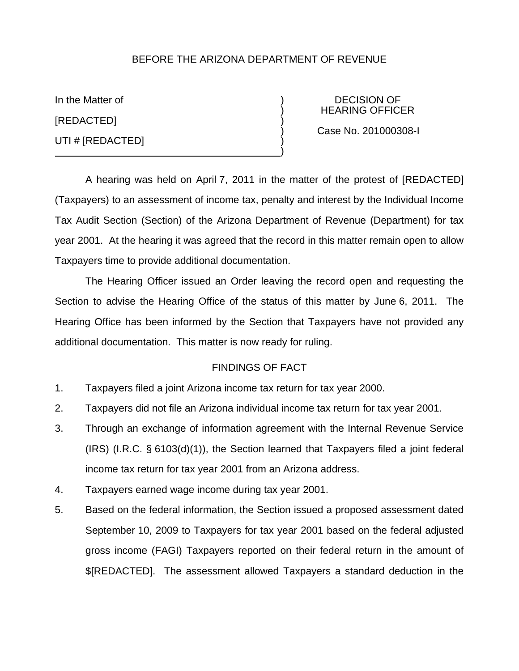# BEFORE THE ARIZONA DEPARTMENT OF REVENUE

[REDACTED] ) UTI # [REDACTED] )

In the Matter of  $\overline{)}$  DECISION OF ) HEARING OFFICER

) Case No. 201000308-I

A hearing was held on April 7, 2011 in the matter of the protest of [REDACTED] (Taxpayers) to an assessment of income tax, penalty and interest by the Individual Income Tax Audit Section (Section) of the Arizona Department of Revenue (Department) for tax year 2001. At the hearing it was agreed that the record in this matter remain open to allow Taxpayers time to provide additional documentation.

 $\big)$ 

The Hearing Officer issued an Order leaving the record open and requesting the Section to advise the Hearing Office of the status of this matter by June 6, 2011. The Hearing Office has been informed by the Section that Taxpayers have not provided any additional documentation. This matter is now ready for ruling.

## FINDINGS OF FACT

- 1. Taxpayers filed a joint Arizona income tax return for tax year 2000.
- 2. Taxpayers did not file an Arizona individual income tax return for tax year 2001.
- 3. Through an exchange of information agreement with the Internal Revenue Service (IRS) (I.R.C. § 6103(d)(1)), the Section learned that Taxpayers filed a joint federal income tax return for tax year 2001 from an Arizona address.
- 4. Taxpayers earned wage income during tax year 2001.
- 5. Based on the federal information, the Section issued a proposed assessment dated September 10, 2009 to Taxpayers for tax year 2001 based on the federal adjusted gross income (FAGI) Taxpayers reported on their federal return in the amount of \$[REDACTED]. The assessment allowed Taxpayers a standard deduction in the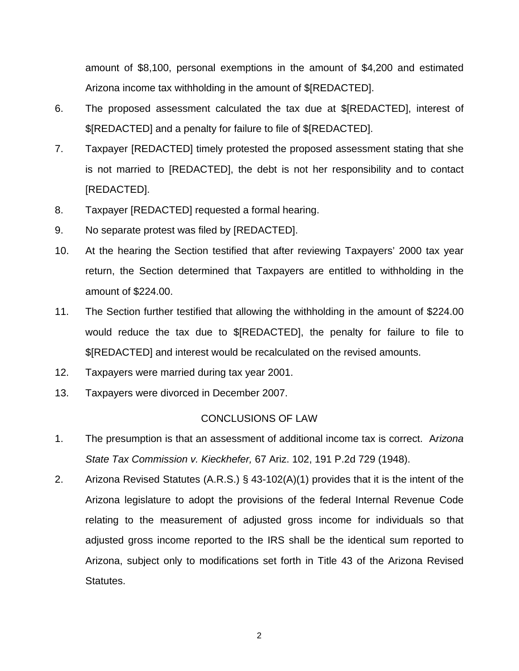amount of \$8,100, personal exemptions in the amount of \$4,200 and estimated Arizona income tax withholding in the amount of \$[REDACTED].

- 6. The proposed assessment calculated the tax due at \$[REDACTED], interest of \$[REDACTED] and a penalty for failure to file of \$[REDACTED].
- 7. Taxpayer [REDACTED] timely protested the proposed assessment stating that she is not married to [REDACTED], the debt is not her responsibility and to contact [REDACTED].
- 8. Taxpayer [REDACTED] requested a formal hearing.
- 9. No separate protest was filed by [REDACTED].
- 10. At the hearing the Section testified that after reviewing Taxpayers' 2000 tax year return, the Section determined that Taxpayers are entitled to withholding in the amount of \$224.00.
- 11. The Section further testified that allowing the withholding in the amount of \$224.00 would reduce the tax due to \$[REDACTED], the penalty for failure to file to \$[REDACTED] and interest would be recalculated on the revised amounts.
- 12. Taxpayers were married during tax year 2001.
- 13. Taxpayers were divorced in December 2007.

## CONCLUSIONS OF LAW

- 1. The presumption is that an assessment of additional income tax is correct. A*rizona State Tax Commission v. Kieckhefer,* 67 Ariz. 102, 191 P.2d 729 (1948).
- 2. Arizona Revised Statutes (A.R.S.) § 43-102(A)(1) provides that it is the intent of the Arizona legislature to adopt the provisions of the federal Internal Revenue Code relating to the measurement of adjusted gross income for individuals so that adjusted gross income reported to the IRS shall be the identical sum reported to Arizona, subject only to modifications set forth in Title 43 of the Arizona Revised Statutes.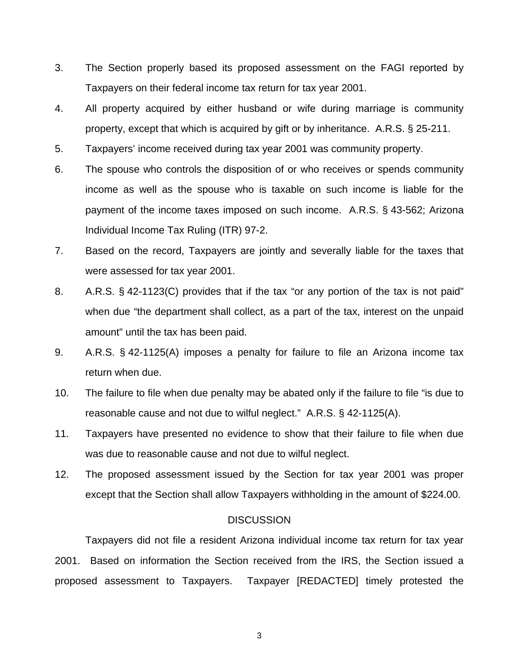- 3. The Section properly based its proposed assessment on the FAGI reported by Taxpayers on their federal income tax return for tax year 2001.
- 4. All property acquired by either husband or wife during marriage is community property, except that which is acquired by gift or by inheritance. A.R.S. § 25-211.
- 5. Taxpayers' income received during tax year 2001 was community property.
- 6. The spouse who controls the disposition of or who receives or spends community income as well as the spouse who is taxable on such income is liable for the payment of the income taxes imposed on such income. A.R.S. § 43-562; Arizona Individual Income Tax Ruling (ITR) 97-2.
- 7. Based on the record, Taxpayers are jointly and severally liable for the taxes that were assessed for tax year 2001.
- 8. A.R.S. § 42-1123(C) provides that if the tax "or any portion of the tax is not paid" when due "the department shall collect, as a part of the tax, interest on the unpaid amount" until the tax has been paid.
- 9. A.R.S. § 42-1125(A) imposes a penalty for failure to file an Arizona income tax return when due.
- 10. The failure to file when due penalty may be abated only if the failure to file "is due to reasonable cause and not due to wilful neglect." A.R.S. § 42-1125(A).
- 11. Taxpayers have presented no evidence to show that their failure to file when due was due to reasonable cause and not due to wilful neglect.
- 12. The proposed assessment issued by the Section for tax year 2001 was proper except that the Section shall allow Taxpayers withholding in the amount of \$224.00.

#### **DISCUSSION**

Taxpayers did not file a resident Arizona individual income tax return for tax year 2001. Based on information the Section received from the IRS, the Section issued a proposed assessment to Taxpayers. Taxpayer [REDACTED] timely protested the

3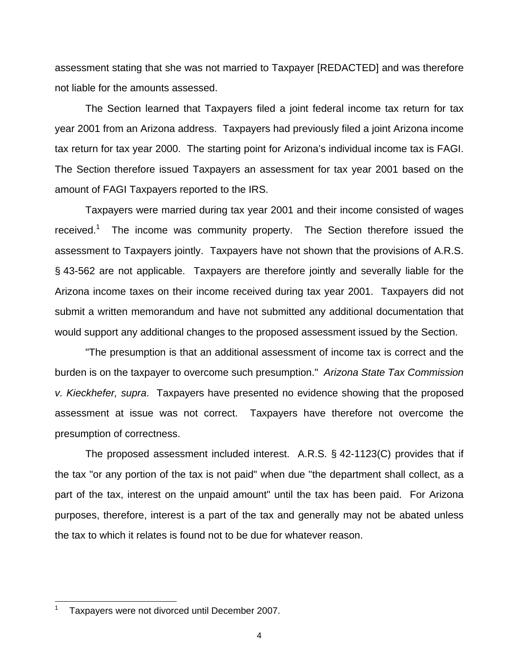assessment stating that she was not married to Taxpayer [REDACTED] and was therefore not liable for the amounts assessed.

The Section learned that Taxpayers filed a joint federal income tax return for tax year 2001 from an Arizona address. Taxpayers had previously filed a joint Arizona income tax return for tax year 2000. The starting point for Arizona's individual income tax is FAGI. The Section therefore issued Taxpayers an assessment for tax year 2001 based on the amount of FAGI Taxpayers reported to the IRS.

Taxpayers were married during tax year 2001 and their income consisted of wages received.<sup>1</sup> The income was community property. The Section therefore issued the assessment to Taxpayers jointly. Taxpayers have not shown that the provisions of A.R.S. § 43-562 are not applicable. Taxpayers are therefore jointly and severally liable for the Arizona income taxes on their income received during tax year 2001. Taxpayers did not submit a written memorandum and have not submitted any additional documentation that would support any additional changes to the proposed assessment issued by the Section.

"The presumption is that an additional assessment of income tax is correct and the burden is on the taxpayer to overcome such presumption." *Arizona State Tax Commission v. Kieckhefer, supra*. Taxpayers have presented no evidence showing that the proposed assessment at issue was not correct. Taxpayers have therefore not overcome the presumption of correctness.

The proposed assessment included interest. A.R.S. § 42-1123(C) provides that if the tax "or any portion of the tax is not paid" when due "the department shall collect, as a part of the tax, interest on the unpaid amount" until the tax has been paid. For Arizona purposes, therefore, interest is a part of the tax and generally may not be abated unless the tax to which it relates is found not to be due for whatever reason.

l

<sup>1</sup> Taxpayers were not divorced until December 2007.